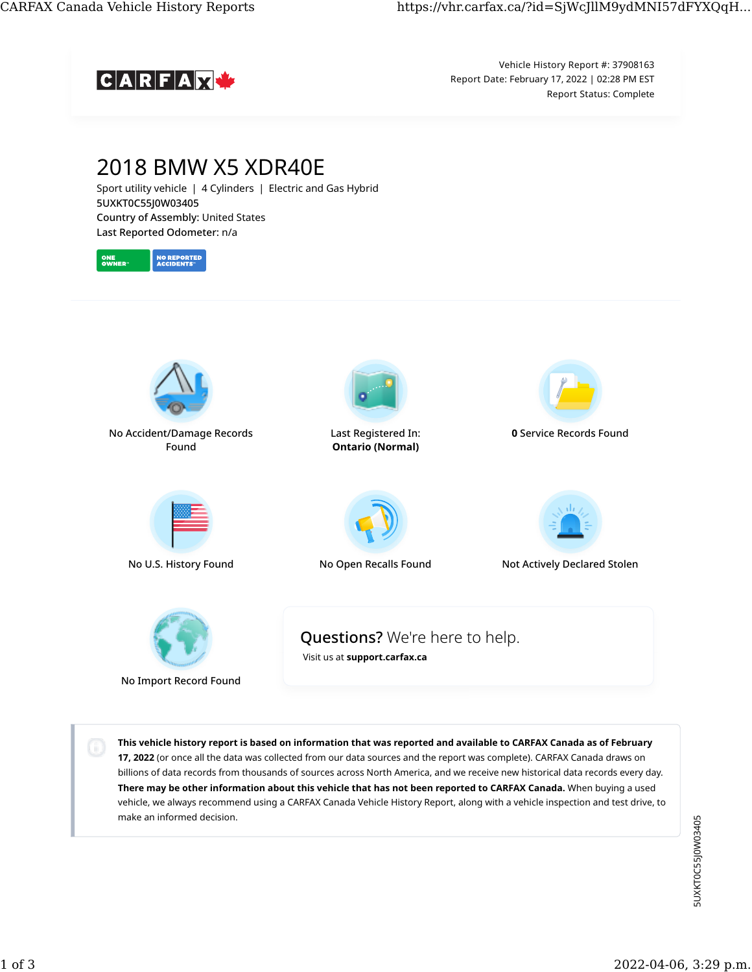

Vehicle History Report #: 37908163 Report Date: February 17, 2022 | 02:28 PM EST Report Status: Complete



This vehicle history report is based on information that was reported and available to CARFAX Canada as of February 17, 2022 (or once all the data was collected from our data sources and the report was complete). CARFAX Canada draws on billions of data records from thousands of sources across North America, and we receive new historical data records every day. There may be other information about this vehicle that has not been reported to CARFAX Canada. When buying a used vehicle, we always recommend using a CARFAX Canada Vehicle History Report, along with a vehicle inspection and test drive, to make an informed decision.

5UXKT0C55J0W03405 5UXKT0C55J0W03405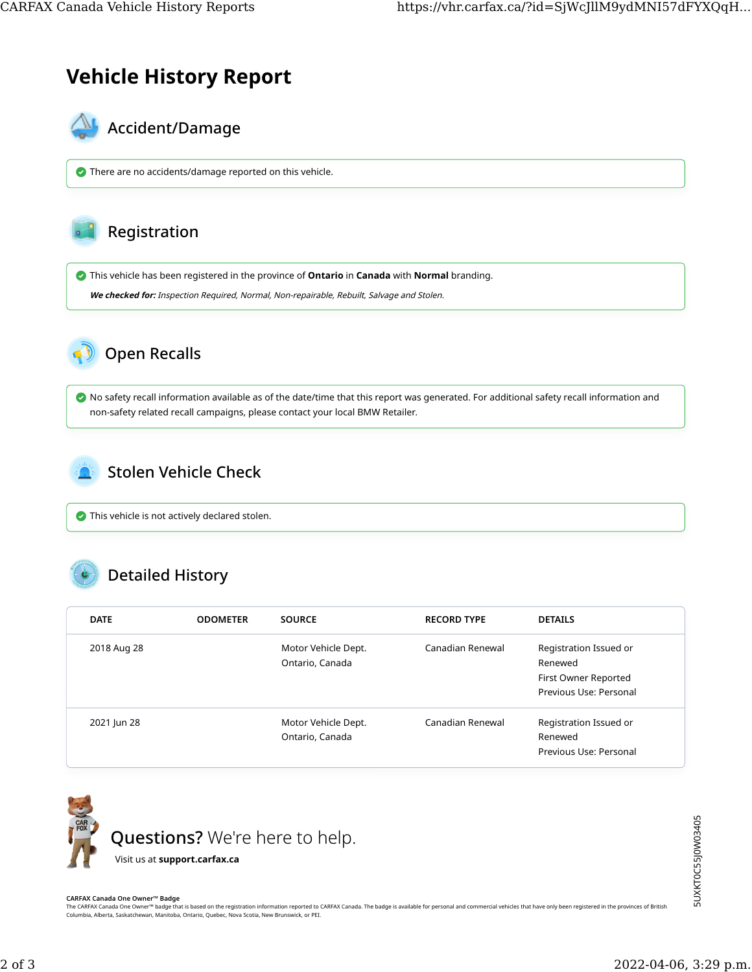## Vehicle History Report



There are no accidents/damage reported on this vehicle.



**O** This vehicle has been registered in the province of **Ontario** in **Canada** with **Normal** branding.

We checked for: Inspection Required, Normal, Non-repairable, Rebuilt, Salvage and Stolen.



 No safety recall information available as of the date/time that this report was generated. For additional safety recall information and non-safety related recall campaigns, please contact your local BMW Retailer.



This vehicle is not actively declared stolen.

## Detailed History

| <b>DATE</b> | <b>ODOMETER</b> | <b>SOURCE</b>                          | <b>RECORD TYPE</b> | <b>DETAILS</b>                                                                      |
|-------------|-----------------|----------------------------------------|--------------------|-------------------------------------------------------------------------------------|
| 2018 Aug 28 |                 | Motor Vehicle Dept.<br>Ontario, Canada | Canadian Renewal   | Registration Issued or<br>Renewed<br>First Owner Reported<br>Previous Use: Personal |
| 2021 Jun 28 |                 | Motor Vehicle Dept.<br>Ontario, Canada | Canadian Renewal   | Registration Issued or<br>Renewed<br>Previous Use: Personal                         |



## CARFAX Canada One Owner™ Badge

The CARFAX Canada One Owner™ badge that is based on the registration information reported to CARFAX Canada. The badge is available for personal and commercial vehicles that have only been registered in the provinces of Br Columbia, Alberta, Saskatchewan, Manitoba, Ontario, Quebec, Nova Scotia, New Brunswick, or PEI.